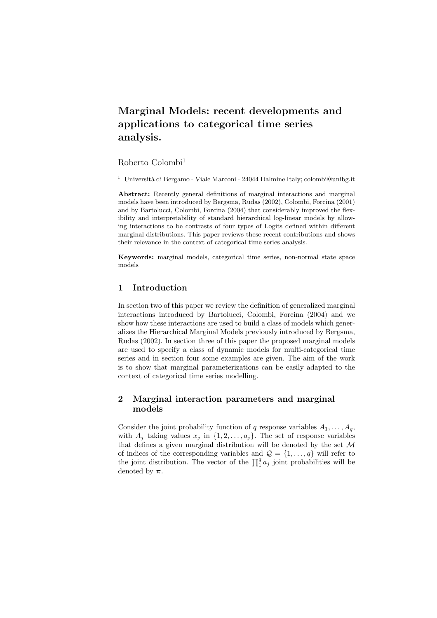# **Marginal Models: recent developments and applications to categorical time series analysis.**

Roberto Colombi<sup>1</sup>

<sup>1</sup> Università di Bergamo - Viale Marconi - 24044 Dalmine Italy; colombi@unibg.it

**Abstract:** Recently general definitions of marginal interactions and marginal models have been introduced by Bergsma, Rudas (2002), Colombi, Forcina (2001) and by Bartolucci, Colombi, Forcina (2004) that considerably improved the flexibility and interpretability of standard hierarchical log-linear models by allowing interactions to be contrasts of four types of Logits defined within different marginal distributions. This paper reviews these recent contributions and shows their relevance in the context of categorical time series analysis.

**Keywords:** marginal models, categorical time series, non-normal state space models

# **1 Introduction**

In section two of this paper we review the definition of generalized marginal interactions introduced by Bartolucci, Colombi, Forcina (2004) and we show how these interactions are used to build a class of models which generalizes the Hierarchical Marginal Models previously introduced by Bergsma, Rudas (2002). In section three of this paper the proposed marginal models are used to specify a class of dynamic models for multi-categorical time series and in section four some examples are given. The aim of the work is to show that marginal parameterizations can be easily adapted to the context of categorical time series modelling.

# **2 Marginal interaction parameters and marginal models**

Consider the joint probability function of q response variables  $A_1, \ldots, A_q$ , with  $A_j$  taking values  $x_j$  in  $\{1, 2, \ldots, a_j\}$ . The set of response variables that defines a given marginal distribution will be denoted by the set  $\mathcal M$ of indices of the corresponding variables and  $\mathcal{Q} = \{1, \ldots, q\}$  will refer to the joint distribution. The vector of the  $\prod_1^q a_j$  joint probabilities will be denoted by  $\pi$ .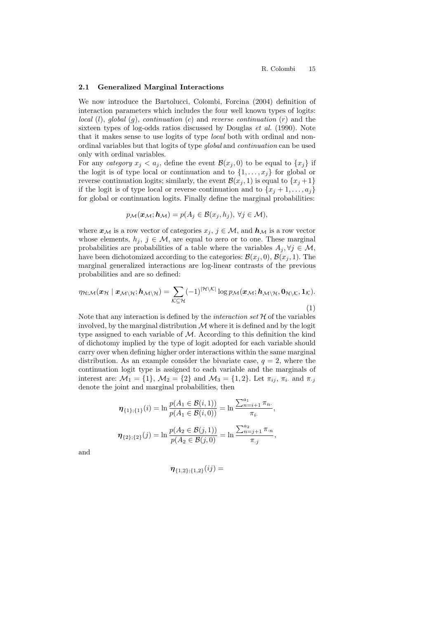#### **2.1 Generalized Marginal Interactions**

We now introduce the Bartolucci, Colombi, Forcina (2004) definition of interaction parameters which includes the four well known types of logits: *local* (l), *global* (g), *continuation* (c) and *reverse continuation* (r) and the sixteen types of log-odds ratios discussed by Douglas *et al.* (1990). Note that it makes sense to use logits of type *local* both with ordinal and nonordinal variables but that logits of type *global* and *continuation* can be used only with ordinal variables.

For any *category*  $x_i < a_j$ , define the event  $\mathcal{B}(x_i, 0)$  to be equal to  $\{x_i\}$  if the logit is of type local or continuation and to  $\{1,\ldots,x_i\}$  for global or reverse continuation logits; similarly, the event  $\mathcal{B}(x_i, 1)$  is equal to  $\{x_i + 1\}$ if the logit is of type local or reverse continuation and to  $\{x_i + 1, \ldots, a_i\}$ for global or continuation logits. Finally define the marginal probabilities:

$$
p_{\mathcal{M}}(\boldsymbol{x}_{\mathcal{M}};\boldsymbol{h}_{\mathcal{M}})=p(A_j\in\mathcal{B}(x_j,h_j),\,\forall j\in\mathcal{M}),
$$

where  $x_{\mathcal{M}}$  is a row vector of categories  $x_j, j \in \mathcal{M}$ , and  $h_{\mathcal{M}}$  is a row vector whose elements,  $h_j$ ,  $j \in \mathcal{M}$ , are equal to zero or to one. These marginal probabilities are probabilities of a table where the variables  $A_i, \forall j \in \mathcal{M}$ , have been dichotomized according to the categories:  $\mathcal{B}(x_i, 0), \mathcal{B}(x_i, 1)$ . The marginal generalized interactions are log-linear contrasts of the previous probabilities and are so defined:

$$
\eta_{\mathcal{H};\mathcal{M}}(\boldsymbol{x}_{\mathcal{H}} \mid \boldsymbol{x}_{\mathcal{M}\setminus\mathcal{H}}; \boldsymbol{h}_{\mathcal{M}\setminus\mathcal{H}}) = \sum_{\mathcal{K}\subseteq\mathcal{H}} (-1)^{|\mathcal{H}\setminus\mathcal{K}|} \log p_{\mathcal{M}}(\boldsymbol{x}_{\mathcal{M}}; \boldsymbol{h}_{\mathcal{M}\setminus\mathcal{H}}, \boldsymbol{0}_{\mathcal{H}\setminus\mathcal{K}}, \boldsymbol{1}_{\mathcal{K}}).
$$
\n(1)

Note that any interaction is defined by the *interaction set*  $H$  of the variables involved, by the marginal distribution  $\mathcal M$  where it is defined and by the logit type assigned to each variable of M. According to this definition the kind of dichotomy implied by the type of logit adopted for each variable should carry over when defining higher order interactions within the same marginal distribution. As an example consider the bivariate case,  $q = 2$ , where the continuation logit type is assigned to each variable and the marginals of interest are:  $M_1 = \{1\}$ ,  $M_2 = \{2\}$  and  $M_3 = \{1, 2\}$ . Let  $\pi_{ij}$ ,  $\pi_i$  and  $\pi_{ij}$ denote the joint and marginal probabilities, then

$$
\eta_{\{1\};\{1\}}(i) = \ln \frac{p(A_1 \in \mathcal{B}(i,1))}{p(A_1 \in \mathcal{B}(i,0))} = \ln \frac{\sum_{n=i+1}^{a_1} \pi_n}{\pi_i},
$$

$$
\eta_{\{2\};\{2\}}(j) = \ln \frac{p(A_2 \in \mathcal{B}(j,1))}{p(A_2 \in \mathcal{B}(j,0))} = \ln \frac{\sum_{n=j+1}^{a_2} \pi_n}{\pi_j},
$$

and

$$
\pmb{\eta}_{\{1,2\};\{1,2\}}(ij) =
$$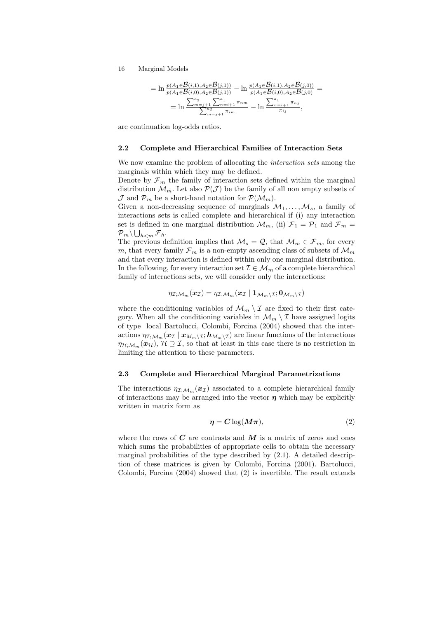16 Marginal Models

$$
= \ln \frac{p(A_1 \in \mathcal{B}(i,1), A_2 \in \mathcal{B}(j,1))}{p(A_1 \in \mathcal{B}(i,0), A_2 \in \mathcal{B}(j,1))} - \ln \frac{p(A_1 \in \mathcal{B}(i,1), A_2 \in \mathcal{B}(j,0))}{p(A_1 \in \mathcal{B}(i,0), A_2 \in \mathcal{B}(j,0))} =
$$
  
= 
$$
\ln \frac{\sum_{m=j+1}^{a_2} \sum_{n=i+1}^{a_1} \pi_{im}}{\sum_{m=j+1}^{a_2} \pi_{im}} - \ln \frac{\sum_{n=i+1}^{a_1} \pi_{nj}}{\pi_{ij}},
$$

are continuation log-odds ratios.

## **2.2 Complete and Hierarchical Families of Interaction Sets**

We now examine the problem of allocating the *interaction sets* among the marginals within which they may be defined.

Denote by  $\mathcal{F}_m$  the family of interaction sets defined within the marginal distribution  $\mathcal{M}_m$ . Let also  $\mathcal{P}(\mathcal{J})$  be the family of all non empty subsets of  $\mathcal{J}$  and  $\mathcal{P}_m$  be a short-hand notation for  $\mathcal{P}(\mathcal{M}_m)$ .

Given a non-decreasing sequence of marginals  $\mathcal{M}_1,\ldots,\mathcal{M}_s$ , a family of interactions sets is called complete and hierarchical if (i) any interaction set is defined in one marginal distribution  $\mathcal{M}_m$ , (ii)  $\mathcal{F}_1 = \mathcal{P}_1$  and  $\mathcal{F}_m =$  ${\cal P}_m \backslash \bigcup_{h < m} {\cal F}_h.$ 

The previous definition implies that  $\mathcal{M}_s = \mathcal{Q}$ , that  $\mathcal{M}_m \in \mathcal{F}_m$ , for every m, that every family  $\mathcal{F}_m$  is a non-empty ascending class of subsets of  $\mathcal{M}_m$ and that every interaction is defined within only one marginal distribution. In the following, for every interaction set  $\mathcal{I} \in \mathcal{M}_m$  of a complete hierarchical family of interactions sets, we will consider only the interactions:

$$
\eta_{\mathcal{I};\mathcal{M}_m}(\pmb{x}_{\mathcal{I}})=\eta_{\mathcal{I};\mathcal{M}_m}(\pmb{x}_{\mathcal{I}} \mid \mathbf{1}_{\mathcal{M}_m \backslash \mathcal{I}};\mathbf{0}_{\mathcal{M}_m \backslash \mathcal{I}})
$$

where the conditioning variables of  $\mathcal{M}_m \setminus \mathcal{I}$  are fixed to their first category. When all the conditioning variables in  $\mathcal{M}_m \setminus \mathcal{I}$  have assigned logits of type local Bartolucci, Colombi, Forcina (2004) showed that the interactions  $\eta_{\mathcal{I};\mathcal{M}_m}(x_{\mathcal{I}} | x_{M_m \setminus \mathcal{I}}; h_{M_m \setminus \mathcal{I}})$  are linear functions of the interactions  $\eta_{\mathcal{H}: \mathcal{M}_m}(\boldsymbol{x}_{\mathcal{H}}), \mathcal{H} \supseteq \mathcal{I}$ , so that at least in this case there is no restriction in limiting the attention to these parameters.

## **2.3 Complete and Hierarchical Marginal Parametrizations**

The interactions  $\eta_{\mathcal{I},\mathcal{M},m}(\boldsymbol{x}_{\mathcal{I}})$  associated to a complete hierarchical family of interactions may be arranged into the vector  $\eta$  which may be explicitly written in matrix form as

$$
\eta = C \log(M\pi),\tag{2}
$$

where the rows of  $C$  are contrasts and  $M$  is a matrix of zeros and ones which sums the probabilities of appropriate cells to obtain the necessary marginal probabilities of the type described by (2.1). A detailed description of these matrices is given by Colombi, Forcina (2001). Bartolucci, Colombi, Forcina (2004) showed that (2) is invertible. The result extends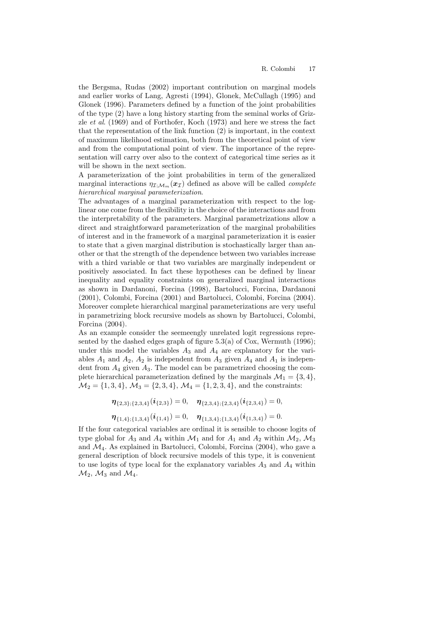the Bergsma, Rudas (2002) important contribution on marginal models and earlier works of Lang, Agresti (1994), Glonek, McCullagh (1995) and Glonek (1996). Parameters defined by a function of the joint probabilities of the type (2) have a long history starting from the seminal works of Grizzle *et al*. (1969) and of Forthofer, Koch (1973) and here we stress the fact that the representation of the link function (2) is important, in the context of maximum likelihood estimation, both from the theoretical point of view and from the computational point of view. The importance of the representation will carry over also to the context of categorical time series as it will be shown in the next section.

A parameterization of the joint probabilities in term of the generalized marginal interactions  $\eta_{\mathcal{I}:\mathcal{M}_m}(\boldsymbol{x}_\mathcal{I})$  defined as above will be called *complete hierarchical marginal parameterization*.

The advantages of a marginal parameterization with respect to the loglinear one come from the flexibility in the choice of the interactions and from the interpretability of the parameters. Marginal parametrizations allow a direct and straightforward parameterization of the marginal probabilities of interest and in the framework of a marginal parameterization it is easier to state that a given marginal distribution is stochastically larger than another or that the strength of the dependence between two variables increase with a third variable or that two variables are marginally independent or positively associated. In fact these hypotheses can be defined by linear inequality and equality constraints on generalized marginal interactions as shown in Dardanoni, Forcina (1998), Bartolucci, Forcina, Dardanoni (2001), Colombi, Forcina (2001) and Bartolucci, Colombi, Forcina (2004). Moreover complete hierarchical marginal parameterizations are very useful in parametrizing block recursive models as shown by Bartolucci, Colombi, Forcina (2004).

As an example consider the seemeengly unrelated logit regressions represented by the dashed edges graph of figure  $5.3(a)$  of Cox, Wermuth (1996); under this model the variables  $A_3$  and  $A_4$  are explanatory for the variables  $A_1$  and  $A_2$ ,  $A_2$  is independent from  $A_3$  given  $A_4$  and  $A_1$  is independent from  $A_4$  given  $A_3$ . The model can be parametrized choosing the complete hierarchical parameterization defined by the marginals  $\mathcal{M}_1 = \{3, 4\},\$  $\mathcal{M}_2 = \{1, 3, 4\}, \, \mathcal{M}_3 = \{2, 3, 4\}, \, \mathcal{M}_4 = \{1, 2, 3, 4\}, \, \text{and the constraints:}$ 

$$
\eta_{\{2,3\};\{2,3,4\}}(\boldsymbol{i}_{\{2,3\}}) = 0, \quad \eta_{\{2,3,4\};\{2,3,4\}}(\boldsymbol{i}_{\{2,3,4\}}) = 0,
$$
  

$$
\eta_{\{1,4\};\{1,3,4\}}(\boldsymbol{i}_{\{1,4\}}) = 0, \quad \eta_{\{1,3,4\};\{1,3,4\}}(\boldsymbol{i}_{\{1,3,4\}}) = 0.
$$

If the four categorical variables are ordinal it is sensible to choose logits of type global for  $A_3$  and  $A_4$  within  $\mathcal{M}_1$  and for  $A_1$  and  $A_2$  within  $\mathcal{M}_2$ ,  $\mathcal{M}_3$ and  $\mathcal{M}_4$ . As explained in Bartolucci, Colombi, Forcina (2004), who gave a general description of block recursive models of this type, it is convenient to use logits of type local for the explanatory variables  $A_3$  and  $A_4$  within  $\mathcal{M}_2$ ,  $\mathcal{M}_3$  and  $\mathcal{M}_4$ .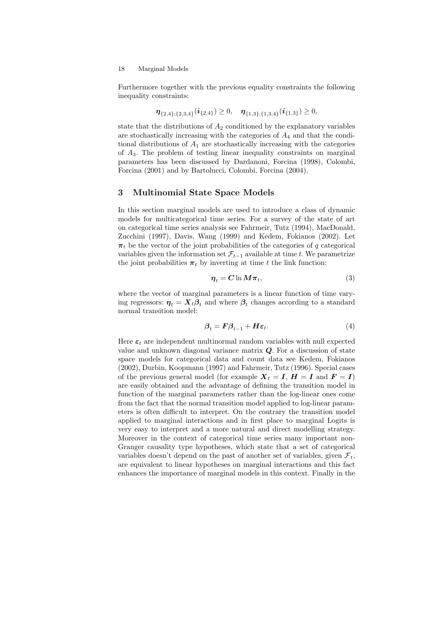Furthermore together with the previous equality constraints the following inequality constraints:

$$
\boldsymbol{\eta}_{\{2,4\};\{2,3,4\}}(\boldsymbol{i}_{\{2,4\}}) \geq 0, \quad \boldsymbol{\eta}_{\{1,3\};\{1,3,4\}}(\boldsymbol{i}_{\{1,3\}}) \geq 0,
$$

state that the distributions of  $A_2$  conditioned by the explanatory variables are stochastically increasing with the categories of  $A_4$  and that the conditional distributions of  $A_1$  are stochastically increasing with the categories of  $A_3$ . The problem of testing linear inequality constraints on marginal parameters has been discussed by Dardanoni, Forcina (1998), Colombi, Forcina (2001) and by Bartolucci, Colombi, Forcina (2004).

# **3 Multinomial State Space Models**

In this section marginal models are used to introduce a class of dynamic models for multicategorical time series. For a survey of the state of art on categorical time series analysis see Fahrmeir, Tutz (1994), MacDonald, Zucchini (1997), Davis, Wang (1999) and Kedem, Fokianos (2002). Let  $\pi_t$  be the vector of the joint probabilities of the categories of q categorical variables given the information set  $\mathcal{F}_{t-1}$  available at time t. We parametrize the joint probabilities  $\pi_t$  by inverting at time t the link function:

$$
\eta_t = C \ln M \pi_t,\tag{3}
$$

where the vector of marginal parameters is a linear function of time varying regressors:  $\eta_t = X_t \beta_t$  and where  $\beta_t$  changes according to a standard normal transition model:

$$
\beta_t = \mathbf{F}\beta_{t-1} + \mathbf{H}\boldsymbol{\varepsilon}_t. \tag{4}
$$

Here  $\varepsilon_t$  are independent multinormal random variables with null expected value and unknown diagonal variance matrix *Q*. For a discussion of state space models for categorical data and count data see Kedem, Fokianos (2002), Durbin, Koopmann (1997) and Fahrmeir, Tutz (1996). Special cases of the previous general model (for example  $X_t = I$ ,  $H = I$  and  $F = I$ ) are easily obtained and the advantage of defining the transition model in function of the marginal parameters rather than the log-linear ones come from the fact that the normal transition model applied to log-linear parameters is often difficult to interpret. On the contrary the transition model applied to marginal interactions and in first place to marginal Logits is very easy to interpret and a more natural and direct modelling strategy. Moreover in the context of categorical time series many important non-Granger causality type hypotheses, which state that a set of categorical variables doesn't depend on the past of another set of variables, given  $\mathcal{F}_t$ , are equivalent to linear hypotheses on marginal interactions and this fact enhances the importance of marginal models in this context. Finally in the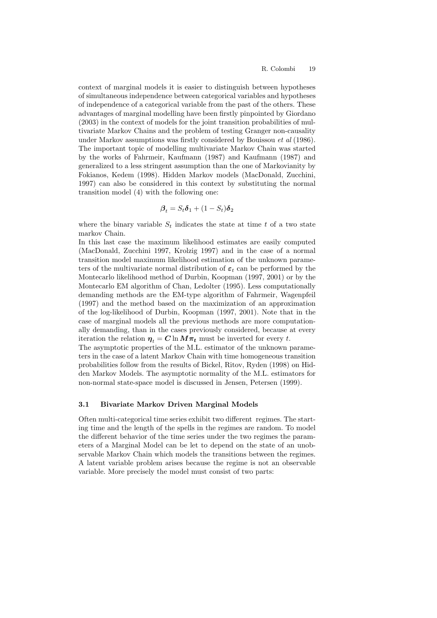context of marginal models it is easier to distinguish between hypotheses of simultaneous independence between categorical variables and hypotheses of independence of a categorical variable from the past of the others. These advantages of marginal modelling have been firstly pinpointed by Giordano (2003) in the context of models for the joint transition probabilities of multivariate Markov Chains and the problem of testing Granger non-causality under Markov assumptions was firstly considered by Bouissou *et al* (1986). The important topic of modelling multivariate Markov Chain was started by the works of Fahrmeir, Kaufmann (1987) and Kaufmann (1987) and generalized to a less stringent assumption than the one of Markovianity by Fokianos, Kedem (1998). Hidden Markov models (MacDonald, Zucchini, 1997) can also be considered in this context by substituting the normal transition model (4) with the following one:

$$
\boldsymbol{\beta}_t = S_t \boldsymbol{\delta}_1 + (1 - S_t) \boldsymbol{\delta}_2
$$

where the binary variable  $S_t$  indicates the state at time  $t$  of a two state markov Chain.

In this last case the maximum likelihood estimates are easily computed (MacDonald, Zucchini 1997, Krolzig 1997) and in the case of a normal transition model maximum likelihood estimation of the unknown parameters of the multivariate normal distribution of *ε<sup>t</sup>* can be performed by the Montecarlo likelihood method of Durbin, Koopman (1997, 2001) or by the Montecarlo EM algorithm of Chan, Ledolter (1995). Less computationally demanding methods are the EM-type algorithm of Fahrmeir, Wagenpfeil (1997) and the method based on the maximization of an approximation of the log-likelihood of Durbin, Koopman (1997, 2001). Note that in the case of marginal models all the previous methods are more computationally demanding, than in the cases previously considered, because at every iteration the relation  $\eta_t = C \ln M \pi_t$  must be inverted for every t.

The asymptotic properties of the M.L. estimator of the unknown parameters in the case of a latent Markov Chain with time homogeneous transition probabilities follow from the results of Bickel, Ritov, Ryden (1998) on Hidden Markov Models. The asymptotic normality of the M.L. estimators for non-normal state-space model is discussed in Jensen, Petersen (1999).

#### **3.1 Bivariate Markov Driven Marginal Models**

Often multi-categorical time series exhibit two different regimes. The starting time and the length of the spells in the regimes are random. To model the different behavior of the time series under the two regimes the parameters of a Marginal Model can be let to depend on the state of an unobservable Markov Chain which models the transitions between the regimes. A latent variable problem arises because the regime is not an observable variable. More precisely the model must consist of two parts: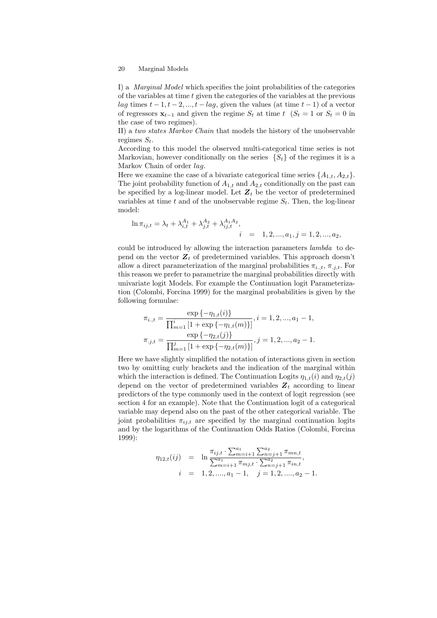#### 20 Marginal Models

I) a *Marginal Model* which specifies the joint probabilities of the categories of the variables at time t given the categories of the variables at the previous lag times  $t-1, t-2, ..., t-\log$ , given the values (at time  $t-1$ ) of a vector of regressors  $\mathbf{x}_{t-1}$  and given the regime  $S_t$  at time  $t \left( S_t = 1 \text{ or } S_t = 0 \text{ in } S_t \right)$ the case of two regimes).

II) a *two states Markov Chain* that models the history of the unobservable regimes S*t*.

According to this model the observed multi-categorical time series is not Markovian, however conditionally on the series  $\{S_t\}$  of the regimes it is a Markov Chain of order *lag*.

Here we examine the case of a bivariate categorical time series  $\{A_{1,t}, A_{2,t}\}.$ The joint probability function of  $A_{1,t}$  and  $A_{2,t}$  conditionally on the past can be specified by a log-linear model. Let  $Z_t$  be the vector of predetermined variables at time t and of the unobservable regime  $S_t$ . Then, the log-linear model:

$$
\ln \pi_{ij,t} = \lambda_t + \lambda_{i,t}^{A_1} + \lambda_{j,t}^{A_2} + \lambda_{ij,t}^{A_1 A_2},
$$
  
\n $i = 1, 2, ..., a_1, j = 1, 2, ..., a_2,$ 

could be introduced by allowing the interaction parameters *lambda* to depend on the vector  $Z_t$  of predetermined variables. This approach doesn't allow a direct parameterization of the marginal probabilities  $\pi_{i..t}$ ,  $\pi_{i.t}$ . For this reason we prefer to parametrize the marginal probabilities directly with univariate logit Models. For example the Continuation logit Parameterization (Colombi, Forcina 1999) for the marginal probabilities is given by the following formulae:

$$
\pi_{i.,t} = \frac{\exp\{-\eta_{1,t}(i)\}}{\prod_{m=1}^i \left[1 + \exp\{-\eta_{1,t}(m)\}\right]}, i = 1, 2, ..., a_1 - 1,
$$
\n
$$
\pi_{.j,t} = \frac{\exp\{-\eta_{2,t}(j)\}}{\prod_{m=1}^j \left[1 + \exp\{-\eta_{2,t}(m)\}\right]}, j = 1, 2, ..., a_2 - 1.
$$

Here we have slightly simplified the notation of interactions given in section two by omitting curly brackets and the indication of the marginal within which the interaction is defined. The Continuation Logits  $\eta_{1,t}(i)$  and  $\eta_{2,t}(i)$ depend on the vector of predetermined variables  $Z_t$  according to linear predictors of the type commonly used in the context of logit regression (see section 4 for an example). Note that the Continuation logit of a categorical variable may depend also on the past of the other categorical variable. The joint probabilities  $\pi_{ij,t}$  are specified by the marginal continuation logits and by the logarithms of the Continuation Odds Ratios (Colombi, Forcina 1999):

$$
\eta_{12,t}(ij) = \ln \frac{\pi_{ij,t} \cdot \sum_{m=i+1}^{a_1} \sum_{n=j+1}^{a_2} \pi_{mn,t}}{\sum_{m=i+1}^{a_1} \pi_{mj,t} \cdot \sum_{n=j+1}^{a_2} \pi_{in,t}},
$$
  
\n $i = 1, 2, ..., a_1 - 1, \quad j = 1, 2, ..., a_2 - 1.$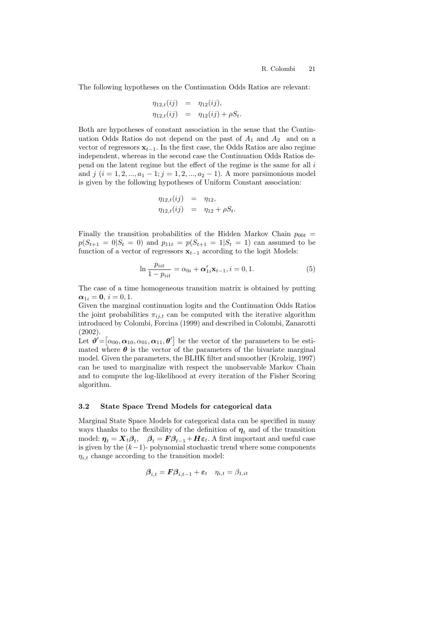The following hypotheses on the Continuation Odds Ratios are relevant:

$$
\eta_{12,t}(ij) = \eta_{12}(ij), \n\eta_{12,t}(ij) = \eta_{12}(ij) + \rho S_t.
$$

Both are hypotheses of constant association in the sense that the Continuation Odds Ratios do not depend on the past of  $A_1$  and  $A_2$  and on a vector of regressors  $\mathbf{x}_{t-1}$ . In the first case, the Odds Ratios are also regime independent, whereas in the second case the Continuation Odds Ratios depend on the latent regime but the effect of the regime is the same for all i and  $j$  ( $i = 1, 2, ..., a_1 - 1; j = 1, 2, ..., a_2 - 1$ ). A more parsimonious model is given by the following hypotheses of Uniform Constant association:

$$
\eta_{12,t}(ij) = \eta_{12}, \n\eta_{12,t}(ij) = \eta_{12} + \rho S_t.
$$

Finally the transition probabilities of the Hidden Markov Chain  $p_{00t}$  =  $p(S_{t+1} = 0|S_t = 0)$  and  $p_{11t} = p(S_{t+1} = 1|S_t = 1)$  can assumed to be function of a vector of regressors  $\mathbf{x}_{t-1}$  according to the logit Models:

$$
\ln \frac{p_{iit}}{1 - p_{iit}} = \alpha_{0i} + \alpha'_{1i} \mathbf{x}_{t-1}, i = 0, 1.
$$
 (5)

The case of a time homogeneous transition matrix is obtained by putting  $\alpha_{1i} = 0, i = 0, 1.$ 

Given the marginal continuation logits and the Continuation Odds Ratios the joint probabilities  $\pi_{ij,t}$  can be computed with the iterative algorithm introduced by Colombi, Forcina (1999) and described in Colombi, Zanarotti (2002).

Let  $\theta' = [\alpha_{00}, \alpha_{10}, \alpha_{01}, \alpha_{11}, \theta']$  be the vector of the parameters to be estimated where  $\theta$  is the vector of the parameters of the bivariate marginal model. Given the parameters, the BLHK filter and smoother (Krolzig, 1997) can be used to marginalize with respect the unobservable Markov Chain and to compute the log-likelihood at every iteration of the Fisher Scoring algorithm.

#### **3.2 State Space Trend Models for categorical data**

Marginal State Space Models for categorical data can be specified in many ways thanks to the flexibility of the definition of  $\eta_t$  and of the transition model:  $\eta_t = X_t \beta_t$ ,  $\beta_t = F \beta_{t-1} + H \varepsilon_t$ . A first important and useful case is given by the  $(k-1)$ - polynomial stochastic trend where some components  $\eta_{i,t}$  change according to the transition model:

$$
\pmb{\beta}_{i,t} = \pmb{F}\pmb{\beta}_{i,t-1} + \pmb{\varepsilon}_t \quad \eta_{i,t} = \beta_{1,it}
$$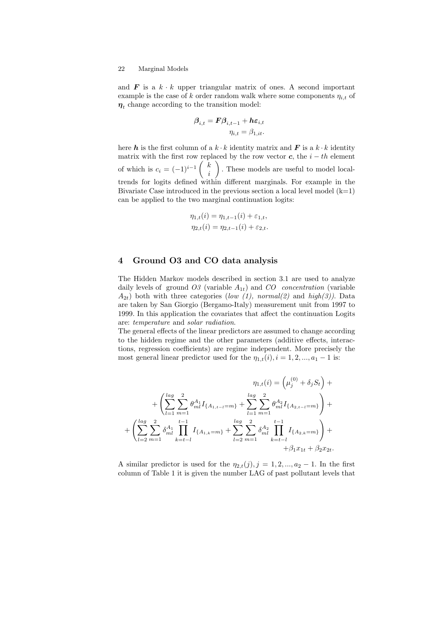#### 22 Marginal Models

and  $\boldsymbol{F}$  is a  $k \cdot k$  upper triangular matrix of ones. A second important example is the case of k order random walk where some components  $\eta_{i,t}$  of  $\eta_t$  change according to the transition model:

$$
\boldsymbol{\beta}_{i,t} = \boldsymbol{F} \boldsymbol{\beta}_{i,t-1} + \boldsymbol{h} \boldsymbol{\varepsilon}_{i,t} \eta_{i,t} = \beta_{1,it}.
$$

here **h** is the first column of a  $k \cdot k$  identity matrix and **F** is a  $k \cdot k$  identity matrix with the first row replaced by the row vector  $c$ , the  $i - th$  element of which is  $c_i = (-1)^{i-1} \begin{pmatrix} k \\ i \end{pmatrix}$ i . These models are useful to model localtrends for logits defined within different marginals. For example in the Bivariate Case introduced in the previous section a local level model  $(k=1)$ can be applied to the two marginal continuation logits:

$$
\eta_{1,t}(i) = \eta_{1,t-1}(i) + \varepsilon_{1,t},
$$
  

$$
\eta_{2,t}(i) = \eta_{2,t-1}(i) + \varepsilon_{2,t}.
$$

# **4 Ground O3 and CO data analysis**

The Hidden Markov models described in section 3.1 are used to analyze daily levels of ground  $O3$  (variable  $A_{1t}$ ) and  $CO$  *concentration* (variable  $A_{2t}$ ) both with three categories (*low (1), normal(2)* and  $high(3)$ ). Data are taken by San Giorgio (Bergamo-Italy) measurement unit from 1997 to 1999. In this application the covariates that affect the continuation Logits are: *temperature* and *solar radiation*.

The general effects of the linear predictors are assumed to change according to the hidden regime and the other parameters (additive effects, interactions, regression coefficients) are regime independent. More precisely the most general linear predictor used for the  $\eta_{1,t}(i), i = 1, 2, ..., a_1 - 1$  is:

$$
\eta_{1,t}(i) = \left(\mu_j^{(0)} + \delta_j S_t\right) + \left(\sum_{l=1}^{\log} \sum_{m=1}^2 \theta_{ml}^{A_1} I_{\{A_{1,t-l}=m\}} + \sum_{l=1}^{\log} \sum_{m=1}^2 \theta_{ml}^{A_2} I_{\{A_{2,t-l}=m\}}\right) + \left(\sum_{l=2}^{\log} \sum_{m=1}^2 \delta_{ml}^{A_1} \prod_{k=t-l}^{t-1} I_{\{A_{1,k}=m\}} + \sum_{l=2}^{\log} \sum_{m=1}^2 \delta_{ml}^{A_2} \prod_{k=t-l}^{t-1} I_{\{A_{2,k}=m\}}\right) + \beta_1 x_{1t} + \beta_2 x_{2t}.
$$

A similar predictor is used for the  $\eta_{2,t}(j), j = 1, 2, ..., a_2 - 1$ . In the first column of Table 1 it is given the number LAG of past pollutant levels that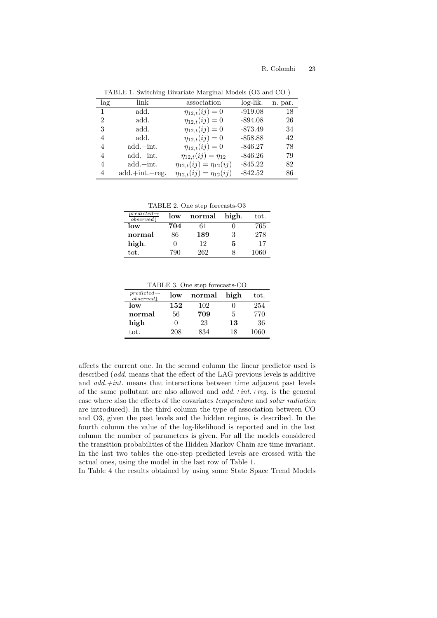| lag            | link             | association                       | $log-lik.$ | n. par. |
|----------------|------------------|-----------------------------------|------------|---------|
| $\overline{1}$ | add.             | $\eta_{12,t}(ij) = 0$             | $-919.08$  | 18      |
| $\overline{2}$ | add.             | $\eta_{12,t}(ij) = 0$             | $-894.08$  | 26      |
| 3              | add.             | $\eta_{12,t}(ij) = 0$             | $-873.49$  | 34      |
| 4              | add.             | $\eta_{12,t}(ij) = 0$             | $-858.88$  | 42      |
| 4              | $add.+int.$      | $\eta_{12,t}(ij) = 0$             | $-846.27$  | 78      |
| 4              | $add.+int.$      | $\eta_{12,t}(ij) = \eta_{12}$     | $-846.26$  | 79      |
| 4              | $add.+int.$      | $\eta_{12,t}(ij) = \eta_{12}(ij)$ | $-845.22$  | 82      |
| 4              | $add.+int.+reg.$ | $\eta_{12,t}(ij) = \eta_{12}(ij)$ | $-842.52$  | 86      |

TABLE 1. Switching Bivariate Marginal Models (O3 and CO )

TABLE 2. One step forecasts-O3

| $predicted \rightarrow$<br>observed | low | normal | high. | tot. |
|-------------------------------------|-----|--------|-------|------|
| low                                 | 704 | 61     |       | 765  |
| normal                              | 86  | 189    | 3     | 278  |
| high.                               |     | 12     | 5     | 17   |
| tot.                                | 790 | 262    |       | 1060 |

TABLE 3. One step forecasts-CO

| $predicted \rightarrow$<br>observed | low | normal | high | tot. |
|-------------------------------------|-----|--------|------|------|
| low                                 | 152 | 102    | U    | 254  |
| normal                              | 56  | 709    | 5    | 770  |
| high                                | 0   | 23     | 13   | 36   |
| tot.                                | 208 | 834    | 18   | 1060 |

affects the current one. In the second column the linear predictor used is described (*add.* means that the effect of the LAG previous levels is additive and *add.+int.* means that interactions between time adjacent past levels of the same pollutant are also allowed and *add.+int.+reg.* is the general case where also the effects of the covariates *temperature* and *solar radiation* are introduced). In the third column the type of association between CO and O3, given the past levels and the hidden regime, is described. In the fourth column the value of the log-likelihood is reported and in the last column the number of parameters is given. For all the models considered the transition probabilities of the Hidden Markov Chain are time invariant. In the last two tables the one-step predicted levels are crossed with the actual ones, using the model in the last row of Table 1.

In Table 4 the results obtained by using some State Space Trend Models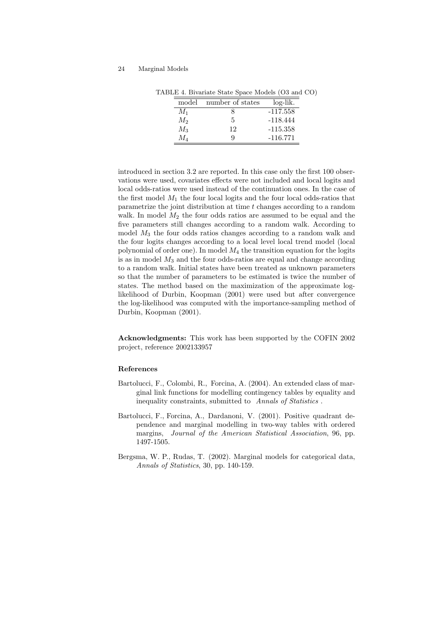| model   | number of states | log-lik.   |
|---------|------------------|------------|
| $M_1$   |                  | $-117.558$ |
| $M_2$   | 5                | $-118.444$ |
| $M_3$   | 12               | $-115.358$ |
| $M_{4}$ | g                | $-116.771$ |

TABLE 4. Bivariate State Space Models (O3 and CO)

introduced in section 3.2 are reported. In this case only the first 100 observations were used, covariates effects were not included and local logits and local odds-ratios were used instead of the continuation ones. In the case of the first model  $M_1$  the four local logits and the four local odds-ratios that parametrize the joint distribution at time  $t$  changes according to a random walk. In model  $M_2$  the four odds ratios are assumed to be equal and the five parameters still changes according to a random walk. According to model  $M_3$  the four odds ratios changes according to a random walk and the four logits changes according to a local level local trend model (local polynomial of order one). In model  $M_4$  the transition equation for the logits is as in model  $M_3$  and the four odds-ratios are equal and change according to a random walk. Initial states have been treated as unknown parameters so that the number of parameters to be estimated is twice the number of states. The method based on the maximization of the approximate loglikelihood of Durbin, Koopman (2001) were used but after convergence the log-likelihood was computed with the importance-sampling method of Durbin, Koopman (2001).

**Acknowledgments:** This work has been supported by the COFIN 2002 project, reference 2002133957

#### **References**

- Bartolucci, F., Colombi, R., Forcina, A. (2004). An extended class of marginal link functions for modelling contingency tables by equality and inequality constraints, submitted to *Annals of Statistics* .
- Bartolucci, F., Forcina, A., Dardanoni, V. (2001). Positive quadrant dependence and marginal modelling in two-way tables with ordered margins, *Journal of the American Statistical Association*, 96, pp. 1497-1505.
- Bergsma, W. P., Rudas, T. (2002). Marginal models for categorical data, *Annals of Statistics*, 30, pp. 140-159.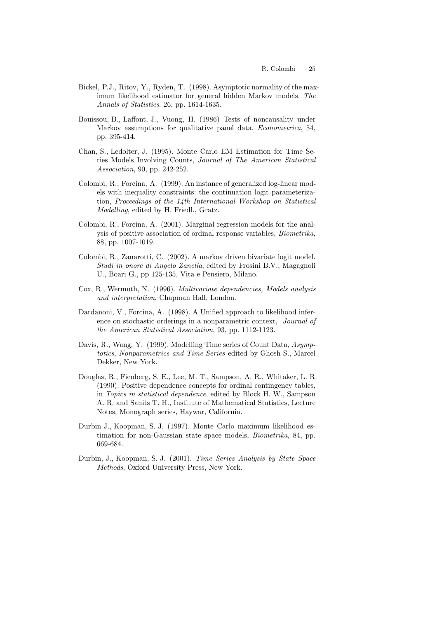- Bickel, P.J., Ritov, Y., Ryden, T. (1998). Asymptotic normality of the maximum likelihood estimator for general hidden Markov models. *The Annals of Statistics*. 26, pp. 1614-1635.
- Bouissou, B., Laffont, J., Vuong, H. (1986) Tests of noncausality under Markov assumptions for qualitative panel data. *Econometrica*, 54, pp. 395-414.
- Chan, S., Ledolter, J. (1995). Monte Carlo EM Estimation for Time Series Models Involving Counts, *Journal of The American Statistical Association*, 90, pp. 242-252.
- Colombi, R., Forcina, A. (1999). An instance of generalized log-linear models with inequality constraints: the continuation logit parameterization, *Proceedings of the 14th International Workshop on Statistical Modelling*, edited by H. Friedl., Gratz.
- Colombi, R., Forcina, A. (2001). Marginal regression models for the analysis of positive association of ordinal response variables, *Biometrika*, 88, pp. 1007-1019.
- Colombi, R., Zanarotti, C. (2002). A markov driven bivariate logit model. *Studi in onore di Angelo Zanella*, edited by Frosini B.V., Magagnoli U., Boari G., pp 125-135, Vita e Pensiero, Milano.
- Cox, R., Wermuth, N. (1996). *Multivariate dependencies, Models analysis and interpretation*, Chapman Hall, London.
- Dardanoni, V., Forcina, A. (1998). A Unified approach to likelihood inference on stochastic orderings in a nonparametric context, *Journal of the American Statistical Association*, 93, pp. 1112-1123.
- Davis, R., Wang, Y. (1999). Modelling Time series of Count Data, *Asymptotics, Nonparametrics and Time Series* edited by Ghosh S., Marcel Dekker, New York.
- Douglas, R., Fienberg, S. E., Lee, M. T., Sampson, A. R., Whitaker, L. R. (1990). Positive dependence concepts for ordinal contingency tables, in *Topics in statistical dependence*, edited by Block H. W., Sampson A. R. and Sanits T. H., Institute of Mathematical Statistics, Lecture Notes, Monograph series, Haywar, California.
- Durbin J., Koopman, S. J. (1997). Monte Carlo maximum likelihood estimation for non-Gaussian state space models, *Biometrika*, 84, pp. 669-684.
- Durbin, J., Koopman, S. J. (2001). *Time Series Analysis by State Space Methods*, Oxford University Press, New York.